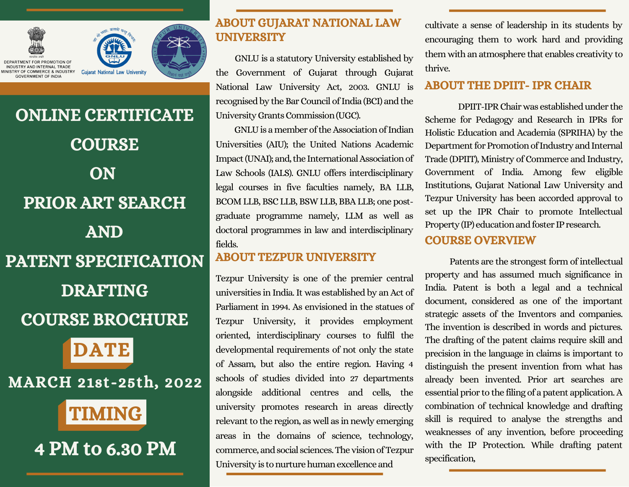



DEPARTMENT FOR PROMOTION OF INDUSTRY AND INTERNAL TRADE STRY OF COMMERCE & INDUSTRY COVERNMENT OF INDIA

# ONLINE CERTIFICATE **COURSE ON** PRIOR ART SEARCH AND PATENT SPECIFICATION DRAFTING

### COURSE BROCHURE



MARCH 21st-25th, 2022

## TIMING

## 4 PM to 6.30 PM

#### ABOUT GUJARAT NATIONAL LAW **UNIVERSITY**

GNLU is a statutory University established by the Government of Gujarat through Gujarat National Law University Act, 2003. GNLU is recognised by the Bar Council of India (BCI) and the University Grants Commission (UGC).

 $\mathbb{R}^n$  are the shapers of  $\mathbb{R}^n$ Universities (AIU); the United Nations Academic Impact (UNAI); and, the International Association of GNLU is a member of the Association of Indian Law Schools (IALS). GNLU offers interdisciplinary legal courses in five faculties namely, BA LLB, BCOM LLB, BSCLLB, BSW LLB, BBALLB; one postgraduate programme namely, LLM as well as doctoral programmes in law and interdisciplinary fields.

#### ABOUT TEZPUR UNIVERSITY

Tezpur University is one of the premier central universities in India.It was established by an Act of Parliament in 1994. As envisioned in the statues of Tezpur University, it provides employment oriented, interdisciplinary courses to fulfil the developmental requirements of not only the state of Assam, but also the entire region. Having 4 schools of studies divided into 27 departments alongside additional centres and cells, the university promotes research in areas directly relevant to the region, as well as in newly emerging areas in the domains of science, technology, commerce, and social sciences. The vision of Tezpur University is to nurture human excellence and

cultivate a sense of leadership in its students by encouraging them to work hard and providing them with an atmosphere that enables creativity to thrive.

#### ABOUT THE DPIIT- IPR CHAIR

DPIIT-IPRChairwas establishedunder the Scheme for Pedagogy and Research in IPRs for Holistic Education and Academia (SPRIHA) by the Department for Promotion of Industry and Internal Trade (DPIIT), Ministry of Commerce and Industry, Government of India. Among few eligible Institutions, Gujarat National Law University and Tezpur University has been accorded approval to set up the IPR Chair to promote Intellectual Property (IP) education and foster IP research.

#### COURSE OVERVIEW

Patents are the strongest form of intellectual property and has assumed much significance in India. Patent is both a legal and a technical document, considered as one of the important strategic assets of the Inventors and companies. The invention is described in words and pictures. The drafting of the patent claims require skill and precision in the language in claims is important to distinguish the present invention from what has already been invented. Prior art searches are essential prior to the filing of a patent application.A combination of technical knowledge and drafting skill is required to analyse the strengths and weaknesses of any invention, before proceeding with the IP Protection. While drafting patent specification,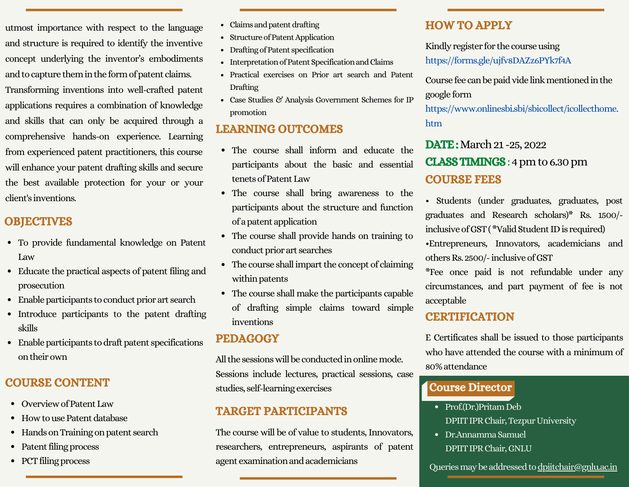utmost importance with respect to the language and structure is required to identify the inventive concept underlying the inventor's embodiments and to capture them in the form of patent claims. Transforming inventions into well-crafted patent applications requires a combination of knowledge and skills that can only be acquired through a comprehensive hands-on experience. Learning from experienced patent practitioners, this course will enhance your patent drafting skills and secure the best available protection for your or your client's inventions.

#### **OBJECTIVES**

- To provide fundamental knowledge on Patent Law
- Educate the practical aspects of patent filing and prosecution
- Enable participants to conduct prior art search
- Introduce participants to the patent drafting skills
- $\bullet$  Enable participants to draft patent specifications ontheirown

#### COURSE CONTENT

- Overview of Patent Law
- How to use Patent database
- Hands on Training on patent search
- Patent filing process
- PCT filing process
- Claims and patent drafting
- Structure of Patent Application
- Drafting of Patent specification
- Interpretation of Patent Specification and Claims
- Practical exercises on Prior art search and Patent Drafting
- Case Studies & Analysis Government Schemes for IP promotion

#### LEARNING OUTCOMES

- The course shall inform and educate the participants about the basic and essential tenets of Patent Law
- The course shall bring awareness to the participants about the structure and function ofapatentapplication
- The course shall provide hands on training to conduct prior art searches
- $\bullet$  The course shall impart the concept of claiming within patents
- The course shall make the participants capable of drafting simple claims toward simple inventions

#### PEDAGOGY

All the sessions will be conducted in online mode. Sessions include lectures, practical sessions, case studies, self-learningexercises

#### TARGET PARTICIPANTS

The course will be of value to students, Innovators, researchers, entrepreneurs, aspirants of patent agent examination and academicians

#### HOW TO APPLY

#### Kindly register for the course using

<https://forms.gle/ujfv8DAZz6PYk7f4A>

Course fee can be paid vide link mentioned in the google form

[https://www.onlinesbi.sbi/sbicollect/icollecthome.](https://www.onlinesbi.sbi/sbicollect/icollecthome.htm) htm

#### **DATE:** March 21 -25, 2022 CLASSTIMINGS:4pmto6.30pm COURSE FEES

• Students (under graduates, graduates, post graduates and Research scholars)\* Rs. 1500/ inclusive of GST (\*Valid Student ID is required)

•Entrepreneurs, Innovators, academicians and others Rs. 2500/-inclusive of GST

\*Fee once paid is not refundable under any circumstances, and part payment of fee is not acceptable

#### **CERTIFICATION**

E Certificates shall be issued to those participants who have attended the course with a minimum of 80%attendance

#### Course Director

- Prof.(Dr.)Pritam Deb DPIIT IPR Chair, Tezpur University
- Dr.AnnammaSamuel DPIITIPRChair,GNLU

Queries may be addressed to [dpiitchair@gnlu.ac.in](mailto:dpiitchair@gnlu.ac.in)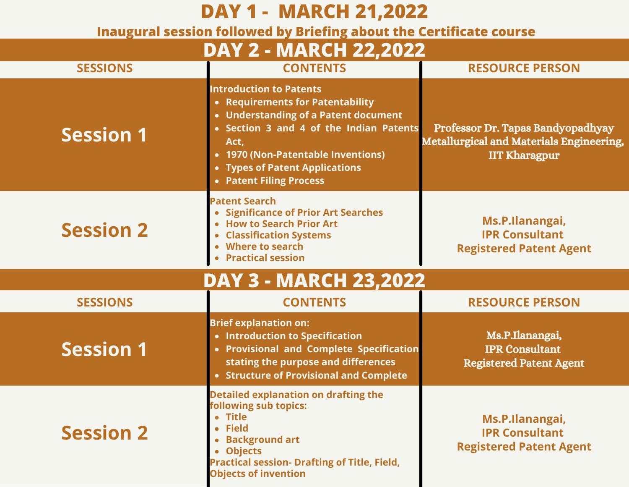| <b>DAY 1 - MARCH 21,2022</b><br>Inaugural session followed by Briefing about the Certificate course |                                                                                                                                                                                                                                                                  |                                                                                                              |  |  |
|-----------------------------------------------------------------------------------------------------|------------------------------------------------------------------------------------------------------------------------------------------------------------------------------------------------------------------------------------------------------------------|--------------------------------------------------------------------------------------------------------------|--|--|
| <b>DAY 2 - MARCH 22,2022</b>                                                                        |                                                                                                                                                                                                                                                                  |                                                                                                              |  |  |
| <b>SESSIONS</b>                                                                                     | <b>CONTENTS</b>                                                                                                                                                                                                                                                  | <b>RESOURCE PERSON</b>                                                                                       |  |  |
| <b>Session 1</b>                                                                                    | <b>Introduction to Patents</b><br>• Requirements for Patentability<br>• Understanding of a Patent document<br>• Section 3 and 4 of the Indian Patents<br>Act,<br>• 1970 (Non-Patentable Inventions)<br>• Types of Patent Applications<br>• Patent Filing Process | Professor Dr. Tapas Bandyopadhyay<br><b>Metallurgical and Materials Engineering,</b><br><b>IIT Kharagpur</b> |  |  |
| <b>Session 2</b>                                                                                    | <b>Patent Search</b><br>• Significance of Prior Art Searches<br>• How to Search Prior Art<br><b>Classification Systems</b><br>Where to search<br><b>Practical session</b>                                                                                        | Ms.P.Ilanangai,<br><b>IPR Consultant</b><br><b>Registered Patent Agent</b>                                   |  |  |
| <b>DAY 3 - MARCH 23,2022</b>                                                                        |                                                                                                                                                                                                                                                                  |                                                                                                              |  |  |
| <b>SESSIONS</b>                                                                                     | <b>CONTENTS</b>                                                                                                                                                                                                                                                  | <b>RESOURCE PERSON</b>                                                                                       |  |  |
| <b>Session 1</b>                                                                                    | <b>Brief explanation on:</b><br>• Introduction to Specification<br>• Provisional and Complete Specification<br>stating the purpose and differences<br>• Structure of Provisional and Complete                                                                    | Ms.P.Ilanangai,<br><b>IPR Consultant</b><br><b>Registered Patent Agent</b>                                   |  |  |
| <b>Session 2</b>                                                                                    | <b>Detailed explanation on drafting the</b><br>following sub topics:<br>• Title<br>• Field<br><b>Background art</b><br>• Objects<br><b>Practical session- Drafting of Title, Field,</b><br><b>Objects of invention</b>                                           | Ms.P.Ilanangai,<br><b>IPR Consultant</b><br><b>Registered Patent Agent</b>                                   |  |  |